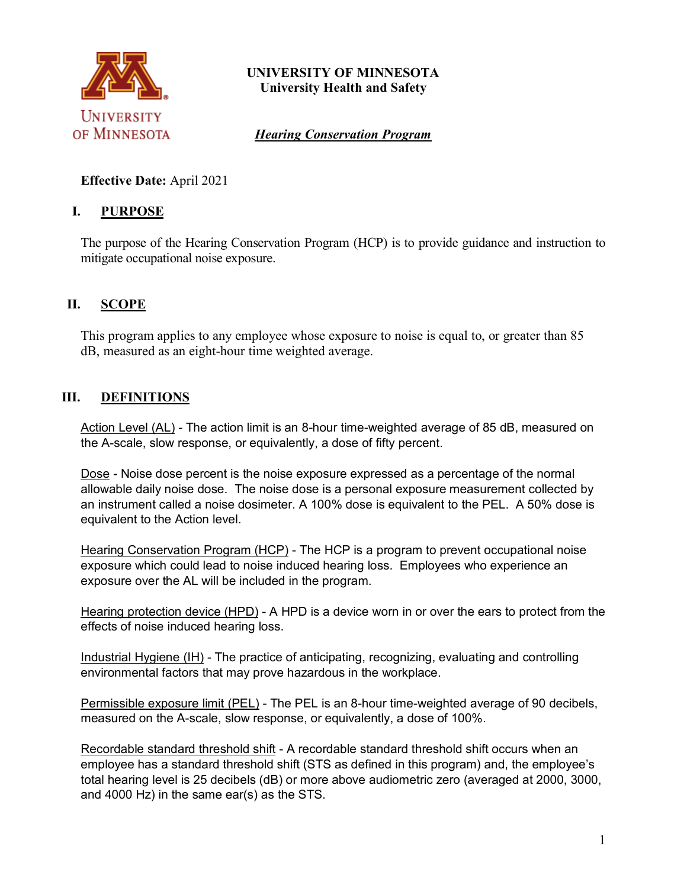

# **UNIVERSITY OF MINNESOTA University Health and Safety**

*Hearing Conservation Program*

# **Effective Date:** April 2021

# **I. PURPOSE**

The purpose of the Hearing Conservation Program (HCP) is to provide guidance and instruction to mitigate occupational noise exposure.

# **II. SCOPE**

This program applies to any employee whose exposure to noise is equal to, or greater than 85 dB, measured as an eight-hour time weighted average.

# **III. DEFINITIONS**

Action Level (AL) - The action limit is an 8-hour time-weighted average of 85 dB, measured on the A-scale, slow response, or equivalently, a dose of fifty percent.

Dose - Noise dose percent is the noise exposure expressed as a percentage of the normal allowable daily noise dose. The noise dose is a personal exposure measurement collected by an instrument called a noise dosimeter. A 100% dose is equivalent to the PEL. A 50% dose is equivalent to the Action level.

Hearing Conservation Program (HCP) - The HCP is a program to prevent occupational noise exposure which could lead to noise induced hearing loss. Employees who experience an exposure over the AL will be included in the program.

Hearing protection device (HPD) - A HPD is a device worn in or over the ears to protect from the effects of noise induced hearing loss.

Industrial Hygiene (IH) - The practice of anticipating, recognizing, evaluating and controlling environmental factors that may prove hazardous in the workplace.

Permissible exposure limit (PEL) - The PEL is an 8-hour time-weighted average of 90 decibels, measured on the A-scale, slow response, or equivalently, a dose of 100%.

Recordable standard threshold shift - A recordable standard threshold shift occurs when an employee has a standard threshold shift (STS as defined in this program) and, the employee's total hearing level is 25 decibels (dB) or more above audiometric zero (averaged at 2000, 3000, and 4000 Hz) in the same ear(s) as the STS.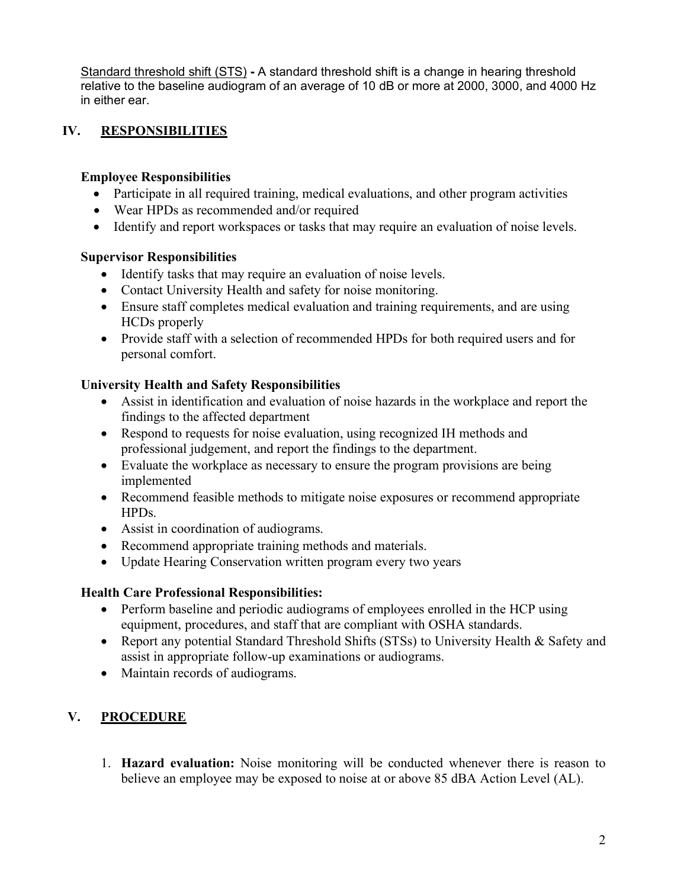Standard threshold shift (STS) **-** A standard threshold shift is a change in hearing threshold relative to the baseline audiogram of an average of 10 dB or more at 2000, 3000, and 4000 Hz in either ear.

# **IV. RESPONSIBILITIES**

#### **Employee Responsibilities**

- Participate in all required training, medical evaluations, and other program activities
- Wear HPDs as recommended and/or required
- Identify and report workspaces or tasks that may require an evaluation of noise levels.

#### **Supervisor Responsibilities**

- Identify tasks that may require an evaluation of noise levels.
- Contact University Health and safety for noise monitoring.
- Ensure staff completes medical evaluation and training requirements, and are using HCDs properly
- Provide staff with a selection of recommended HPDs for both required users and for personal comfort.

### **University Health and Safety Responsibilities**

- Assist in identification and evaluation of noise hazards in the workplace and report the findings to the affected department
- Respond to requests for noise evaluation, using recognized IH methods and professional judgement, and report the findings to the department.
- Evaluate the workplace as necessary to ensure the program provisions are being implemented
- Recommend feasible methods to mitigate noise exposures or recommend appropriate HPDs.
- Assist in coordination of audiograms.
- Recommend appropriate training methods and materials.
- Update Hearing Conservation written program every two years

#### **Health Care Professional Responsibilities:**

- Perform baseline and periodic audiograms of employees enrolled in the HCP using equipment, procedures, and staff that are compliant with OSHA standards.
- Report any potential Standard Threshold Shifts (STSs) to University Health & Safety and assist in appropriate follow-up examinations or audiograms.
- Maintain records of audiograms.

# **V. PROCEDURE**

1. **Hazard evaluation:** Noise monitoring will be conducted whenever there is reason to believe an employee may be exposed to noise at or above 85 dBA Action Level (AL).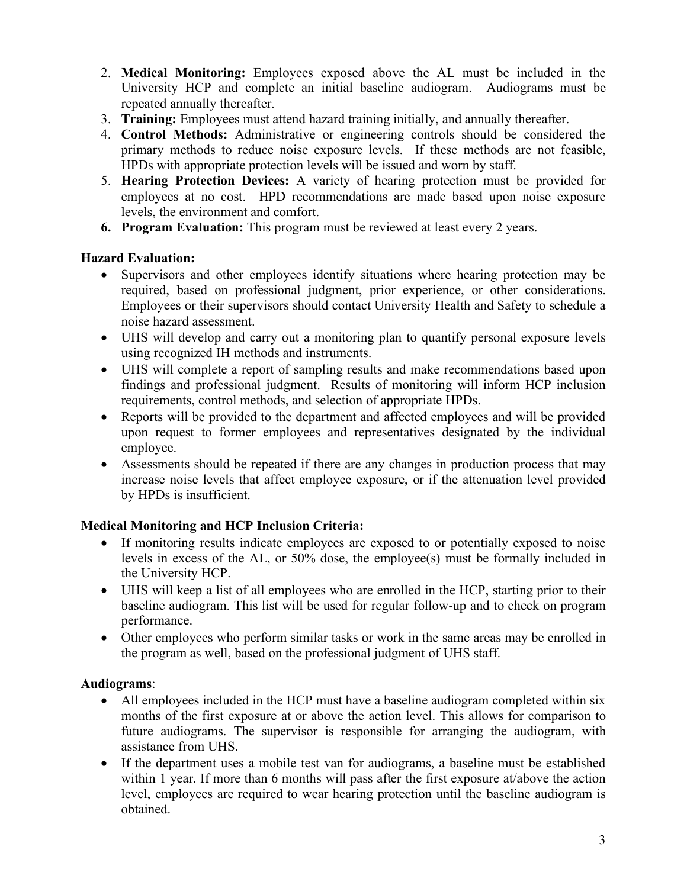- 2. **Medical Monitoring:** Employees exposed above the AL must be included in the University HCP and complete an initial baseline audiogram. Audiograms must be repeated annually thereafter.
- 3. **Training:** Employees must attend hazard training initially, and annually thereafter.
- 4. **Control Methods:** Administrative or engineering controls should be considered the primary methods to reduce noise exposure levels. If these methods are not feasible, HPDs with appropriate protection levels will be issued and worn by staff.
- 5. **Hearing Protection Devices:** A variety of hearing protection must be provided for employees at no cost. HPD recommendations are made based upon noise exposure levels, the environment and comfort.
- **6. Program Evaluation:** This program must be reviewed at least every 2 years.

### **Hazard Evaluation:**

- Supervisors and other employees identify situations where hearing protection may be required, based on professional judgment, prior experience, or other considerations. Employees or their supervisors should contact University Health and Safety to schedule a noise hazard assessment.
- UHS will develop and carry out a monitoring plan to quantify personal exposure levels using recognized IH methods and instruments.
- UHS will complete a report of sampling results and make recommendations based upon findings and professional judgment. Results of monitoring will inform HCP inclusion requirements, control methods, and selection of appropriate HPDs.
- Reports will be provided to the department and affected employees and will be provided upon request to former employees and representatives designated by the individual employee.
- Assessments should be repeated if there are any changes in production process that may increase noise levels that affect employee exposure, or if the attenuation level provided by HPDs is insufficient.

### **Medical Monitoring and HCP Inclusion Criteria:**

- If monitoring results indicate employees are exposed to or potentially exposed to noise levels in excess of the AL, or 50% dose, the employee(s) must be formally included in the University HCP.
- UHS will keep a list of all employees who are enrolled in the HCP, starting prior to their baseline audiogram. This list will be used for regular follow-up and to check on program performance.
- Other employees who perform similar tasks or work in the same areas may be enrolled in the program as well, based on the professional judgment of UHS staff.

### **Audiograms**:

- All employees included in the HCP must have a baseline audiogram completed within six months of the first exposure at or above the action level. This allows for comparison to future audiograms. The supervisor is responsible for arranging the audiogram, with assistance from UHS.
- If the department uses a mobile test van for audiograms, a baseline must be established within 1 year. If more than 6 months will pass after the first exposure at/above the action level, employees are required to wear hearing protection until the baseline audiogram is obtained.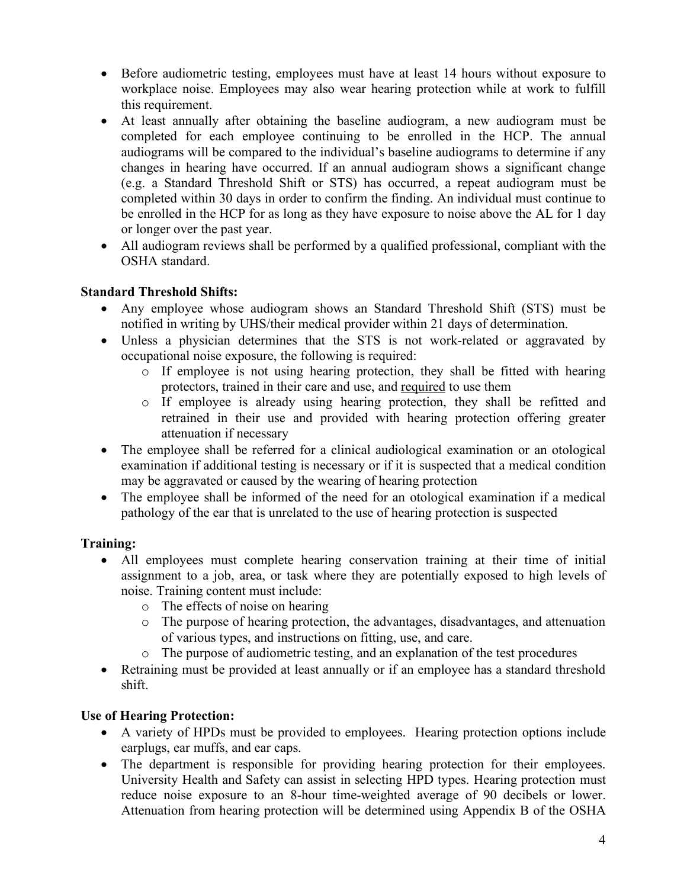- Before audiometric testing, employees must have at least 14 hours without exposure to workplace noise. Employees may also wear hearing protection while at work to fulfill this requirement.
- At least annually after obtaining the baseline audiogram, a new audiogram must be completed for each employee continuing to be enrolled in the HCP. The annual audiograms will be compared to the individual's baseline audiograms to determine if any changes in hearing have occurred. If an annual audiogram shows a significant change (e.g. a Standard Threshold Shift or STS) has occurred, a repeat audiogram must be completed within 30 days in order to confirm the finding. An individual must continue to be enrolled in the HCP for as long as they have exposure to noise above the AL for 1 day or longer over the past year.
- All audiogram reviews shall be performed by a qualified professional, compliant with the OSHA standard.

### **Standard Threshold Shifts:**

- Any employee whose audiogram shows an Standard Threshold Shift (STS) must be notified in writing by UHS/their medical provider within 21 days of determination.
- Unless a physician determines that the STS is not work-related or aggravated by occupational noise exposure, the following is required:
	- o If employee is not using hearing protection, they shall be fitted with hearing protectors, trained in their care and use, and required to use them
	- o If employee is already using hearing protection, they shall be refitted and retrained in their use and provided with hearing protection offering greater attenuation if necessary
- The employee shall be referred for a clinical audiological examination or an otological examination if additional testing is necessary or if it is suspected that a medical condition may be aggravated or caused by the wearing of hearing protection
- The employee shall be informed of the need for an otological examination if a medical pathology of the ear that is unrelated to the use of hearing protection is suspected

# **Training:**

- All employees must complete hearing conservation training at their time of initial assignment to a job, area, or task where they are potentially exposed to high levels of noise. Training content must include:
	- o The effects of noise on hearing
	- o The purpose of hearing protection, the advantages, disadvantages, and attenuation of various types, and instructions on fitting, use, and care.
	- o The purpose of audiometric testing, and an explanation of the test procedures
- Retraining must be provided at least annually or if an employee has a standard threshold shift.

# **Use of Hearing Protection:**

- A variety of HPDs must be provided to employees. Hearing protection options include earplugs, ear muffs, and ear caps.
- The department is responsible for providing hearing protection for their employees. University Health and Safety can assist in selecting HPD types. Hearing protection must reduce noise exposure to an 8-hour time-weighted average of 90 decibels or lower. Attenuation from hearing protection will be determined using Appendix B of the OSHA